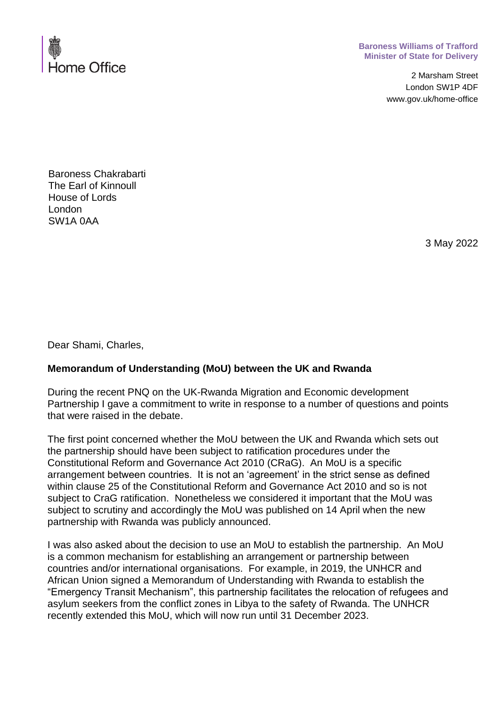

## **Baroness Williams of Trafford Minister of State for Delivery**

2 Marsham Street London SW1P 4DF www.gov.uk/home-office

Baroness Chakrabarti The Earl of Kinnoull House of Lords London SW1A 0AA

3 May 2022

Dear Shami, Charles,

## **Memorandum of Understanding (MoU) between the UK and Rwanda**

During the recent PNQ on the UK-Rwanda Migration and Economic development Partnership I gave a commitment to write in response to a number of questions and points that were raised in the debate.

The first point concerned whether the MoU between the UK and Rwanda which sets out the partnership should have been subject to ratification procedures under the Constitutional Reform and Governance Act 2010 (CRaG). An MoU is a specific arrangement between countries. It is not an 'agreement' in the strict sense as defined within clause 25 of the Constitutional Reform and Governance Act 2010 and so is not subject to CraG ratification. Nonetheless we considered it important that the MoU was subject to scrutiny and accordingly the MoU was published on 14 April when the new partnership with Rwanda was publicly announced.

I was also asked about the decision to use an MoU to establish the partnership. An MoU is a common mechanism for establishing an arrangement or partnership between countries and/or international organisations. For example, in 2019, the UNHCR and African Union signed a Memorandum of Understanding with Rwanda to establish the "Emergency Transit Mechanism", this partnership facilitates the relocation of refugees and asylum seekers from the conflict zones in Libya to the safety of Rwanda. The UNHCR recently extended this MoU, which will now run until 31 December 2023.